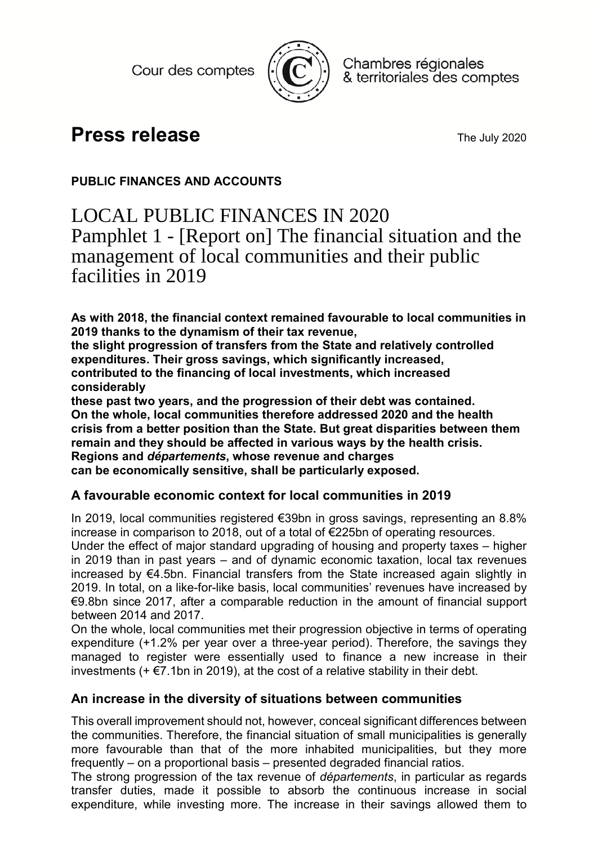Cour des comptes



Chambres régionales & territoriales des comptes

# **Press release** The July 2020

## **PUBLIC FINANCES AND ACCOUNTS**

## LOCAL PUBLIC FINANCES IN 2020 Pamphlet 1 - [Report on] The financial situation and the management of local communities and their public facilities in 2019

**As with 2018, the financial context remained favourable to local communities in 2019 thanks to the dynamism of their tax revenue,** 

**the slight progression of transfers from the State and relatively controlled expenditures. Their gross savings, which significantly increased, contributed to the financing of local investments, which increased considerably** 

**these past two years, and the progression of their debt was contained. On the whole, local communities therefore addressed 2020 and the health crisis from a better position than the State. But great disparities between them remain and they should be affected in various ways by the health crisis. Regions and** *départements***, whose revenue and charges can be economically sensitive, shall be particularly exposed.** 

### **A favourable economic context for local communities in 2019**

In 2019, local communities registered €39bn in gross savings, representing an 8.8% increase in comparison to 2018, out of a total of €225bn of operating resources.

Under the effect of major standard upgrading of housing and property taxes – higher in 2019 than in past years – and of dynamic economic taxation, local tax revenues increased by €4.5bn. Financial transfers from the State increased again slightly in 2019. In total, on a like-for-like basis, local communities' revenues have increased by €9.8bn since 2017, after a comparable reduction in the amount of financial support between 2014 and 2017.

On the whole, local communities met their progression objective in terms of operating expenditure (+1.2% per year over a three-year period). Therefore, the savings they managed to register were essentially used to finance a new increase in their investments ( $+ \epsilon$ 7.1bn in 2019), at the cost of a relative stability in their debt.

### **An increase in the diversity of situations between communities**

This overall improvement should not, however, conceal significant differences between the communities. Therefore, the financial situation of small municipalities is generally more favourable than that of the more inhabited municipalities, but they more frequently – on a proportional basis – presented degraded financial ratios.

The strong progression of the tax revenue of *départements*, in particular as regards transfer duties, made it possible to absorb the continuous increase in social expenditure, while investing more. The increase in their savings allowed them to